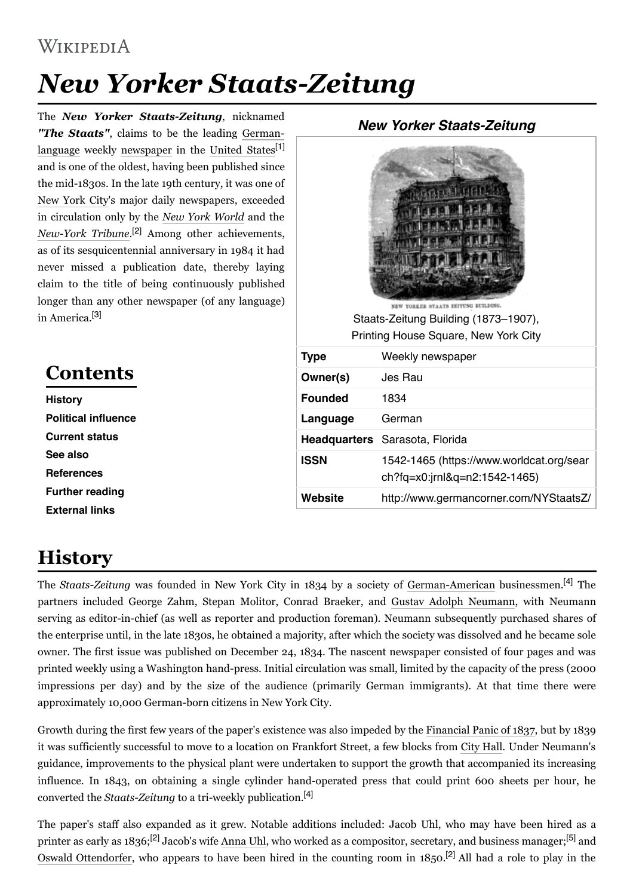#### WIKIPEDIA

## *New Yorker Staats-Zeitung*

The *New Yorker Staats-Zeitung*, nicknamed *"The Staats"*, claims to be the leading Germanlanguage weekly newspaper in the United States<sup>[1]</sup> and is one of the oldest, having been published since the mid-1830s. In the late 19th century, it was one of New York City's major daily newspapers, exceeded in circulation only by the *New York World* and the *NewYork Tribune*. [2] Among other achievements, as of its sesquicentennial anniversary in 1984 it had never missed a publication date, thereby laying claim to the title of being continuously published longer than any other newspaper (of any language) in America.<sup>[3]</sup>

### **Contents**

**History Political influence Current status See also References Further reading External links**

# Staats-Zeitung Building (1873–1907), Printing House Square, New York City **Type** Weekly newspaper **Owner(s)** Jes Rau **Founded** 1834 **Language** German **Headquarters** Sarasota, Florida **ISSN** 1542-1465 (https://www.worldcat.org/sear ch?fq=x0:jrnl&q=n2:1542-1465)

## **History**

The *Staats-Zeitung* was founded in New York City in 1834 by a society of German-American businessmen.<sup>[4]</sup> The partners included George Zahm, Stepan Molitor, Conrad Braeker, and Gustav Adolph Neumann, with Neumann serving as editor-in-chief (as well as reporter and production foreman). Neumann subsequently purchased shares of the enterprise until, in the late 1830s, he obtained a majority, after which the society was dissolved and he became sole owner. The first issue was published on December 24, 1834. The nascent newspaper consisted of four pages and was printed weekly using a Washington hand-press. Initial circulation was small, limited by the capacity of the press (2000 impressions per day) and by the size of the audience (primarily German immigrants). At that time there were approximately 10,000 German-born citizens in New York City.

Growth during the first few years of the paper's existence was also impeded by the Financial Panic of 1837, but by 1839 it was sufficiently successful to move to a location on Frankfort Street, a few blocks from City Hall. Under Neumann's guidance, improvements to the physical plant were undertaken to support the growth that accompanied its increasing influence. In 1843, on obtaining a single cylinder hand-operated press that could print 600 sheets per hour, he converted the *Staats-Zeitung* to a tri-weekly publication.<sup>[4]</sup>

The paper's staff also expanded as it grew. Notable additions included: Jacob Uhl, who may have been hired as a printer as early as 1836;<sup>[2]</sup> Jacob's wife Anna Uhl, who worked as a compositor, secretary, and business manager;<sup>[5]</sup> and Oswald Ottendorfer, who appears to have been hired in the counting room in 1850.<sup>[2]</sup> All had a role to play in the

#### **New Yorker Staats-Zeitung**

| NEW YORKER STAATS ZEITUNG BUILDING.<br>Staats-Zeitung Building (1873-1907),<br>Printing House Square, New York City |                                                                           |  |  |
|---------------------------------------------------------------------------------------------------------------------|---------------------------------------------------------------------------|--|--|
| <b>Type</b>                                                                                                         | Weekly newspaper                                                          |  |  |
| Owner(s)                                                                                                            | Jes Rau                                                                   |  |  |
| <b>Founded</b>                                                                                                      | 1834                                                                      |  |  |
| Language                                                                                                            | German                                                                    |  |  |
|                                                                                                                     | Headquarters Sarasota, Florida                                            |  |  |
| <b>ISSN</b>                                                                                                         | 1542-1465 (https://www.worldcat.org/sear<br>ch?fq=x0:jrnl&q=n2:1542-1465) |  |  |
| Website                                                                                                             | http://www.germancorner.com/NYStaatsZ/                                    |  |  |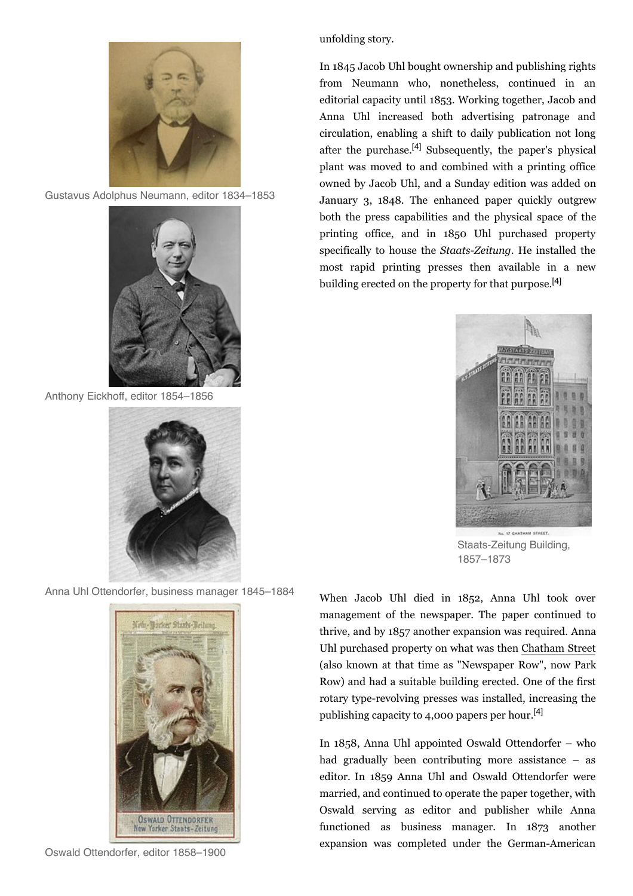

Gustavus Adolphus Neumann, editor 1834–1853



Anthony Eickhoff, editor 1854–1856



Anna Uhl Ottendorfer, business manager 1845–1884



Oswald Ottendorfer, editor 1858–1900

unfolding story.

In 1845 Jacob Uhl bought ownership and publishing rights from Neumann who, nonetheless, continued in an editorial capacity until 1853. Working together, Jacob and Anna Uhl increased both advertising patronage and circulation, enabling a shift to daily publication not long after the purchase.<sup>[4]</sup> Subsequently, the paper's physical plant was moved to and combined with a printing office owned by Jacob Uhl, and a Sunday edition was added on January 3, 1848. The enhanced paper quickly outgrew both the press capabilities and the physical space of the printing office, and in 1850 Uhl purchased property specifically to house the *Staats-Zeitung*. He installed the most rapid printing presses then available in a new building erected on the property for that purpose.<sup>[4]</sup>



Staats-Zeitung Building, 1857–1873

When Jacob Uhl died in 1852, Anna Uhl took over management of the newspaper. The paper continued to thrive, and by 1857 another expansion was required. Anna Uhl purchased property on what was then Chatham Street (also known at that time as "Newspaper Row", now Park Row) and had a suitable building erected. One of the first rotary type-revolving presses was installed, increasing the publishing capacity to 4,000 papers per hour. [4]

In 1858, Anna Uhl appointed Oswald Ottendorfer – who had gradually been contributing more assistance – as editor. In 1859 Anna Uhl and Oswald Ottendorfer were married, and continued to operate the paper together, with Oswald serving as editor and publisher while Anna functioned as business manager. In 1873 another expansion was completed under the German-American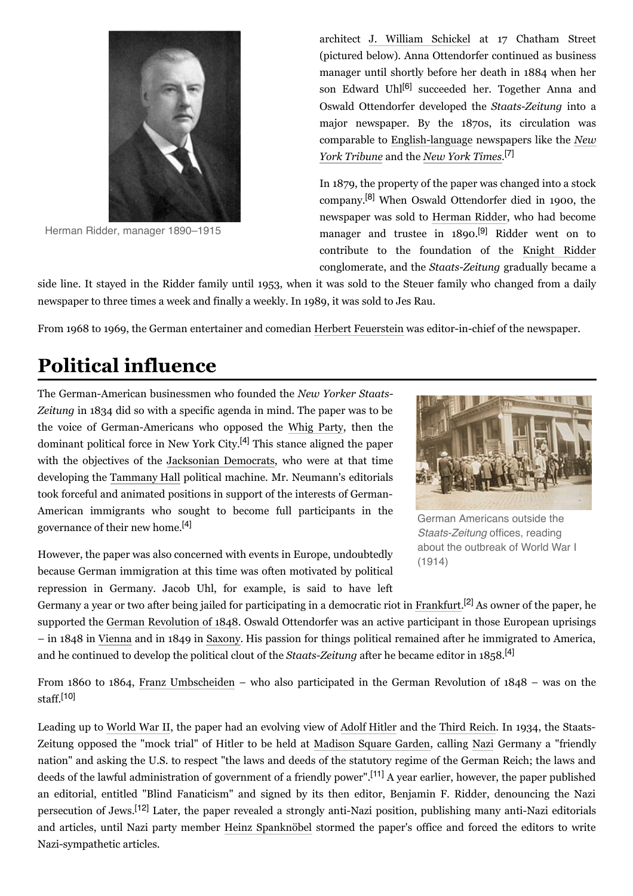

Herman Ridder, manager 1890–1915

architect J. William Schickel at 17 Chatham Street (pictured below). Anna Ottendorfer continued as business manager until shortly before her death in 1884 when her son Edward Uhl<sup>[6]</sup> succeeded her. Together Anna and Oswald Ottendorfer developed the *Staats-Zeitung* into a major newspaper. By the 1870s, its circulation was comparable to English-language newspapers like the *New York Tribune* and the *New York Times*. [7]

In 1879, the property of the paper was changed into a stock company. [8] When Oswald Ottendorfer died in 1900, the newspaper was sold to Herman Ridder, who had become manager and trustee in 1890.<sup>[9]</sup> Ridder went on to contribute to the foundation of the Knight Ridder conglomerate, and the *Staats-Zeitung* gradually became a

side line. It stayed in the Ridder family until 1953, when it was sold to the Steuer family who changed from a daily newspaper to three times a week and finally a weekly. In 1989, it was sold to Jes Rau.

From 1968 to 1969, the German entertainer and comedian Herbert Feuerstein was editor-in-chief of the newspaper.

#### **Political influence**

The German-American businessmen who founded the *New Yorker Staats-Zeitung* in 1834 did so with a specific agenda in mind. The paper was to be the voice of German-Americans who opposed the Whig Party, then the dominant political force in New York City.<sup>[4]</sup> This stance aligned the paper with the objectives of the Jacksonian Democrats, who were at that time developing the Tammany Hall political machine. Mr. Neumann's editorials took forceful and animated positions in support of the interests of German-American immigrants who sought to become full participants in the governance of their new home. [4]

However, the paper was also concerned with events in Europe, undoubtedly because German immigration at this time was often motivated by political repression in Germany. Jacob Uhl, for example, is said to have left



German Americans outside the Staats-Zeitung offices, reading about the outbreak of World War I (1914)

Germany a year or two after being jailed for participating in a democratic riot in Frankfurt.<sup>[2]</sup> As owner of the paper, he supported the German Revolution of 1848. Oswald Ottendorfer was an active participant in those European uprisings – in 1848 in Vienna and in 1849 in Saxony. His passion for things political remained after he immigrated to America, and he continued to develop the political clout of the *Staats-Zeitung* after he became editor in 1858.<sup>[4]</sup>

From 1860 to 1864, Franz Umbscheiden – who also participated in the German Revolution of 1848 – was on the staff. [10]

Leading up to World War II, the paper had an evolving view of Adolf Hitler and the Third Reich. In 1934, the Staats-Zeitung opposed the "mock trial" of Hitler to be held at Madison Square Garden, calling Nazi Germany a "friendly nation" and asking the U.S. to respect "the laws and deeds of the statutory regime of the German Reich; the laws and deeds of the lawful administration of government of a friendly power". [11] A year earlier, however, the paper published an editorial, entitled "Blind Fanaticism" and signed by its then editor, Benjamin F. Ridder, denouncing the Nazi persecution of Jews.<sup>[12]</sup> Later, the paper revealed a strongly anti-Nazi position, publishing many anti-Nazi editorials and articles, until Nazi party member Heinz Spanknöbel stormed the paper's office and forced the editors to write Nazi-sympathetic articles.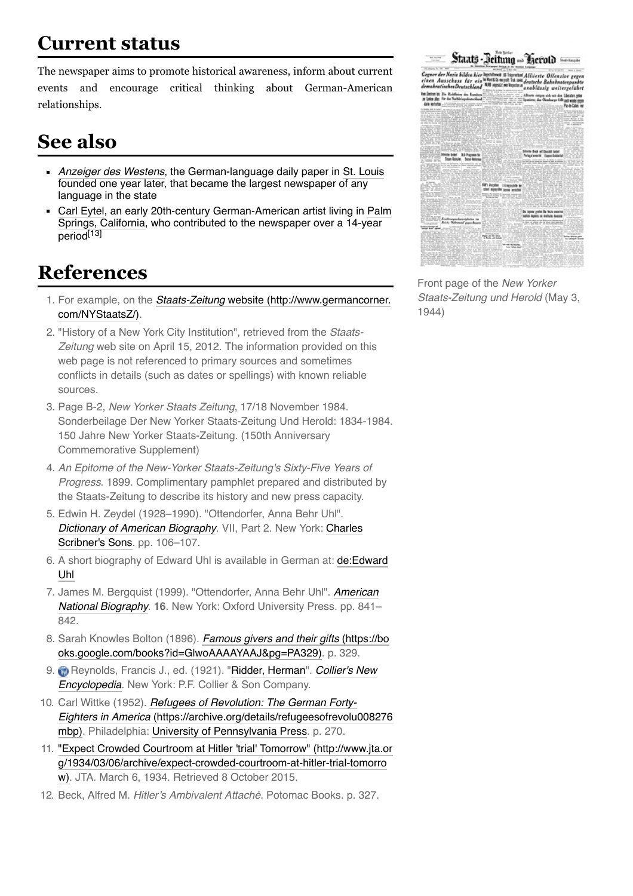#### **Current status**

The newspaper aims to promote historical awareness, inform about current events and encourage critical thinking about German-American relationships.

### **See also**

- Anzeiger des Westens, the German-language daily paper in St. Louis founded one year later, that became the largest newspaper of any language in the state
- Carl Eytel, an early 20th-century German-American artist living in Palm Springs, California, who contributed to the newspaper over a 14-year period<sup>[13]</sup>

#### **References**

- 1. For example, on the Staats-Zeitung website (http://www.germancorner. com/NYStaatsZ/).
- 2. "History of a New York City Institution", retrieved from the Staats-Zeitung web site on April 15, 2012. The information provided on this web page is not referenced to primary sources and sometimes conflicts in details (such as dates or spellings) with known reliable sources.
- 3. Page B-2, New Yorker Staats Zeitung, 17/18 November 1984. Sonderbeilage Der New Yorker Staats-Zeitung Und Herold: 1834-1984. 150 Jahre New Yorker Staats-Zeitung. (150th Anniversary Commemorative Supplement)
- 4. An Epitome of the New-Yorker Staats-Zeitung's Sixty-Five Years of Progress. 1899. Complimentary pamphlet prepared and distributed by the Staats-Zeitung to describe its history and new press capacity.
- 5. Edwin H. Zeydel (1928–1990). "Ottendorfer, Anna Behr Uhl". Dictionary of American Biography. VII, Part 2. New York: Charles Scribner's Sons. pp. 106-107.
- 6. A short biography of Edward Uhl is available in German at: de:Edward Uhl
- 7. James M. Bergquist (1999). "Ottendorfer, Anna Behr Uhl". American National Biography. **16**. New York: Oxford University Press. pp. 841– 842.
- 8. Sarah Knowles Bolton (1896). Famous givers and their gifts (https://bo oks.google.com/books?id=GlwoAAAAYAAJ&pg=PA329). p. 329.
- 9. **Reynolds, Francis J., ed. (1921). "Ridder, Herman". Collier's New** Encyclopedia. New York: P.F. Collier & Son Company.
- 10. Carl Wittke (1952). Refugees of Revolution: The German Forty-Eighters in America (https://archive.org/details/refugeesofrevolu008276 mbp). Philadelphia: University of Pennsylvania Press. p. 270.
- 11. "Expect Crowded Courtroom at Hitler 'trial' Tomorrow" (http://www.jta.or g/1934/03/06/archive/expect-crowded-courtroom-at-hitler-trial-tomorro w). JTA. March 6, 1934. Retrieved 8 October 2015.
- 12. Beck, Alfred M. Hitler's Ambivalent Attaché. Potomac Books. p. 327.

|                                                                                                                                                                                                                                                               | Staats - Beitung - Becold                                                          |                                                                                                                        |                            |
|---------------------------------------------------------------------------------------------------------------------------------------------------------------------------------------------------------------------------------------------------------------|------------------------------------------------------------------------------------|------------------------------------------------------------------------------------------------------------------------|----------------------------|
| Gegner der Nazis bilden kier hystännä 31 läpvätal Alliierte Offenzise gegen<br>einen Ausschuss für ein <sup>hettet</sup> t und in we deutsche Bahnknotespankte<br>demokratischesDeutschland <sup>838</sup> med: m tentan <sub>und</sub> hilgsie untserenfuhre |                                                                                    | 13 menta na konta n a na blúasig weitergelührt                                                                         |                            |
| For Partner by Die Kadelleien des Kamitens<br>at Units also Ne do Natitivistadora bland<br><b>Eric exhibits</b> - Channel Million or promoters<br>It dealer and is large<br>R. De Min & La<br>I IF WHA IN SA                                                  |                                                                                    | Allierte einigen sich mit den Ubruftet miter<br>the second control of the Spasions; the Cheshorys falls and sinks more | <b>Pole Cale W</b><br>$-2$ |
| C. 2040s bold 1.5-harmed to<br><b>Stop-Robbin, Sand Arlynus</b>                                                                                                                                                                                               |                                                                                    | Silicle Book at Christi lated<br>Perhapsi enworter Engine-Schlassitet                                                  |                            |
|                                                                                                                                                                                                                                                               | FM's Fergeles - I Englands by<br>she' says the ages would<br><b>SAN TECHNOLOGY</b> |                                                                                                                        |                            |
| 1.1.92 / Fredrompscheinighebe in<br>Roid; Nakutana' pupa daunta<br>1772                                                                                                                                                                                       |                                                                                    | De Japon grete De Nots evente<br>saful lastes a deface been                                                            |                            |
|                                                                                                                                                                                                                                                               | <b>TANK SIGNAL</b>                                                                 |                                                                                                                        | to Lebrard Street          |

Front page of the New Yorker Staats-Zeitung und Herold (May 3, 1944)